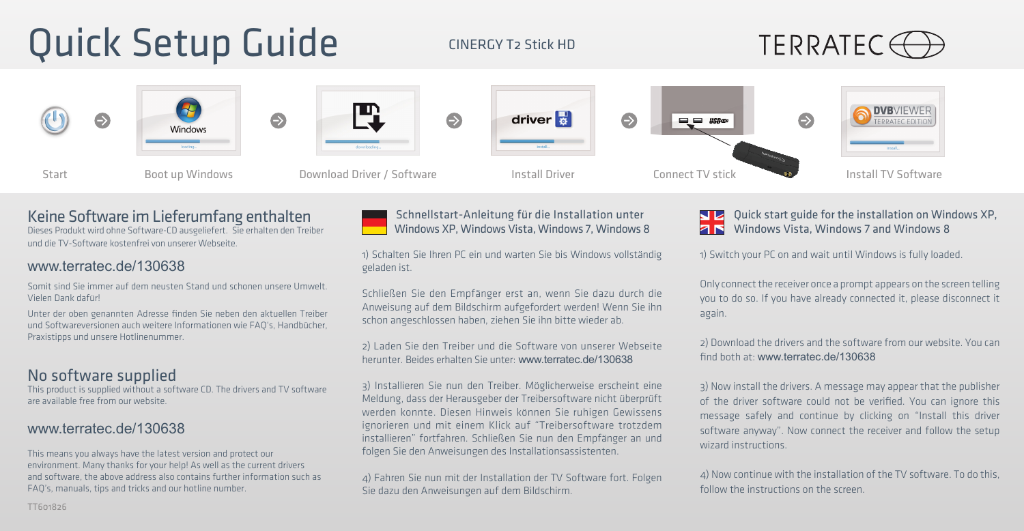# Quick Setup Guide

CINERGY T2 Stick HD





## Keine Software im Lieferumfang enthalten

Dieses Produkt wird ohne Software-CD ausgeliefert. Sie erhalten den Treiber und die TV-Software kostenfrei von unserer Webseite.

#### www.terratec.de/130638

Somit sind Sie immer auf dem neusten Stand und schonen unsere Umwelt. Vielen Dank dafür!

Unter der oben genannten Adresse finden Sie neben den aktuellen Treiber und Softwareversionen auch weitere Informationen wie FAQ's, Handbücher, Praxistipps und unsere Hotlinenummer.

### No software supplied

This product is supplied without a software CD. The drivers and TV software are available free from our website.

### www.terratec.de/130638

This means you always have the latest version and protect our environment. Many thanks for your help! As well as the current drivers and software, the above address also contains further information such as FAQ's, manuals, tips and tricks and our hotline number.



#### Schnellstart-Anleitung für die Installation unter Windows XP, Windows Vista, Windows 7, Windows 8

1) Schalten Sie Ihren PC ein und warten Sie bis Windows vollständig geladen ist.

Schließen Sie den Empfänger erst an, wenn Sie dazu durch die Anweisung auf dem Bildschirm aufgefordert werden! Wenn Sie ihn schon angeschlossen haben, ziehen Sie ihn bitte wieder ab.

2) Laden Sie den Treiber und die Software von unserer Webseite herunter. Beides erhalten Sie unter: www.terratec.de/130638

3) Installieren Sie nun den Treiber. Möglicherweise erscheint eine Meldung, dass der Herausgeber der Treibersoftware nicht überprüft werden konnte. Diesen Hinweis können Sie ruhigen Gewissens ignorieren und mit einem Klick auf "Treibersoftware trotzdem installieren" fortfahren. Schließen Sie nun den Empfänger an und folgen Sie den Anweisungen des Installationsassistenten.

4) Fahren Sie nun mit der Installation der TV Software fort. Folgen Sie dazu den Anweisungen auf dem Bildschirm.

**NZ** Quick start guide for the installation on Windows XP, **ZIS** Windows Vista, Windows 7 and Windows 8

1) Switch your PC on and wait until Windows is fully loaded.

Only connect the receiver once a prompt appears on the screen telling you to do so. If you have already connected it, please disconnect it again.

2) Download the drivers and the software from our website. You can find both at: www.terratec.de/130638

3) Now install the drivers. A message may appear that the publisher of the driver software could not be verified. You can ignore this message safely and continue by clicking on "Install this driver software anyway". Now connect the receiver and follow the setup wizard instructions.

4) Now continue with the installation of the TV software. To do this, follow the instructions on the screen.

TT601826